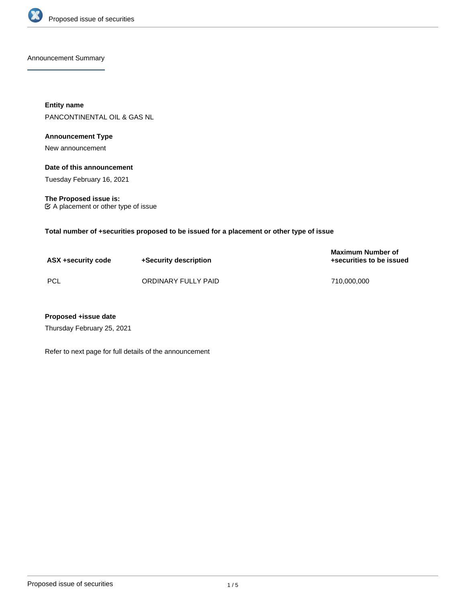

Announcement Summary

**Entity name** PANCONTINENTAL OIL & GAS NL

# **Announcement Type**

New announcement

## **Date of this announcement**

Tuesday February 16, 2021

**The Proposed issue is:** A placement or other type of issue

**Total number of +securities proposed to be issued for a placement or other type of issue**

| ASX +security code | +Security description | <b>Maximum Number of</b><br>+securities to be issued |
|--------------------|-----------------------|------------------------------------------------------|
| PCL                | ORDINARY FULLY PAID   | 710.000.000                                          |

## **Proposed +issue date**

Thursday February 25, 2021

Refer to next page for full details of the announcement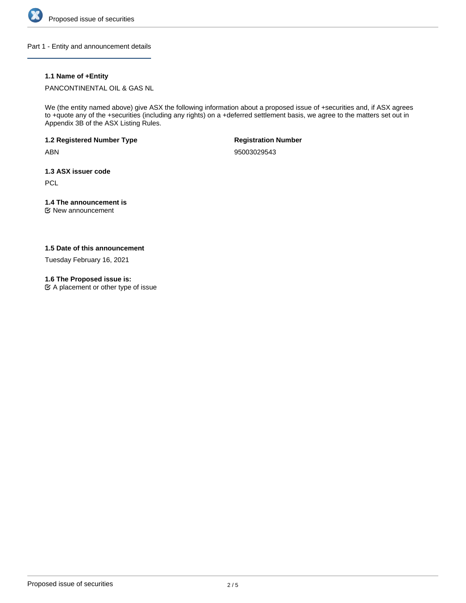

Part 1 - Entity and announcement details

# **1.1 Name of +Entity**

PANCONTINENTAL OIL & GAS NL

We (the entity named above) give ASX the following information about a proposed issue of +securities and, if ASX agrees to +quote any of the +securities (including any rights) on a +deferred settlement basis, we agree to the matters set out in Appendix 3B of the ASX Listing Rules.

**1.2 Registered Number Type**

ABN

**Registration Number**

95003029543

**1.3 ASX issuer code**

**PCL** 

# **1.4 The announcement is**

New announcement

## **1.5 Date of this announcement**

Tuesday February 16, 2021

## **1.6 The Proposed issue is:**

 $\mathfrak{C}$  A placement or other type of issue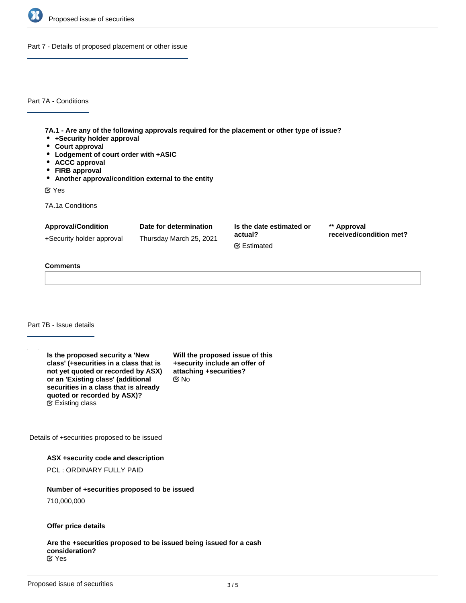

Part 7 - Details of proposed placement or other issue

Part 7A - Conditions

**7A.1 - Are any of the following approvals required for the placement or other type of issue?**

- **+Security holder approval**
- **Court approval**
- **Lodgement of court order with +ASIC**
- **ACCC approval**
- **FIRB approval**
- **Another approval/condition external to the entity**

Yes

7A.1a Conditions

| <b>Approval/Condition</b> | Date for determination  | Is the date estimated or<br>actual?<br><b></b> ■ Estimated | ** Approval<br>received/condition met? |
|---------------------------|-------------------------|------------------------------------------------------------|----------------------------------------|
| +Security holder approval | Thursday March 25, 2021 |                                                            |                                        |

## **Comments**

#### Part 7B - Issue details

| Is the proposed security a 'New        | Will the |
|----------------------------------------|----------|
| class' (+securities in a class that is | +secur   |
| not yet quoted or recorded by ASX)     | attachi  |
| or an 'Existing class' (additional     | C⁄ No    |
| securities in a class that is already  |          |
| quoted or recorded by ASX)?            |          |
| $\mathfrak{G}$ Existing class          |          |

**Will the proposed issue of this ity include an offer of attaching +securities?**

Details of +securities proposed to be issued

## **ASX +security code and description**

PCL : ORDINARY FULLY PAID

## **Number of +securities proposed to be issued**

710,000,000

#### **Offer price details**

**Are the +securities proposed to be issued being issued for a cash consideration?** Yes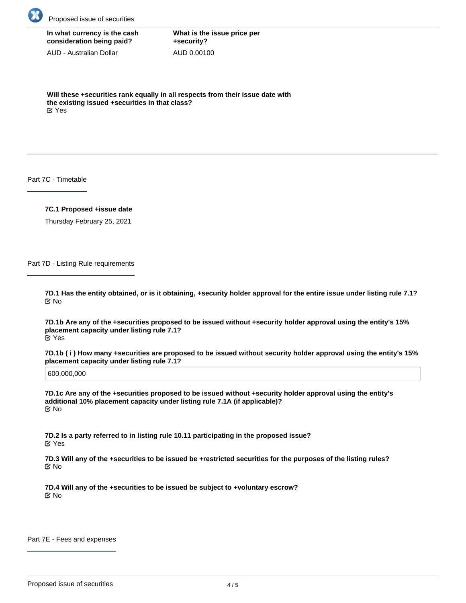

| In what currency is the cash |
|------------------------------|
| consideration being paid?    |

AUD - Australian Dollar

**What is the issue price per +security?** AUD 0.00100

**Will these +securities rank equally in all respects from their issue date with the existing issued +securities in that class?** Yes

Part 7C - Timetable

**7C.1 Proposed +issue date**

Thursday February 25, 2021

Part 7D - Listing Rule requirements

**7D.1 Has the entity obtained, or is it obtaining, +security holder approval for the entire issue under listing rule 7.1?** No

**7D.1b Are any of the +securities proposed to be issued without +security holder approval using the entity's 15% placement capacity under listing rule 7.1?** Yes

**7D.1b ( i ) How many +securities are proposed to be issued without security holder approval using the entity's 15% placement capacity under listing rule 7.1?**

600,000,000

**7D.1c Are any of the +securities proposed to be issued without +security holder approval using the entity's additional 10% placement capacity under listing rule 7.1A (if applicable)?** No

**7D.2 Is a party referred to in listing rule 10.11 participating in the proposed issue?** Yes

**7D.3 Will any of the +securities to be issued be +restricted securities for the purposes of the listing rules?** No

**7D.4 Will any of the +securities to be issued be subject to +voluntary escrow?** No

Part 7E - Fees and expenses